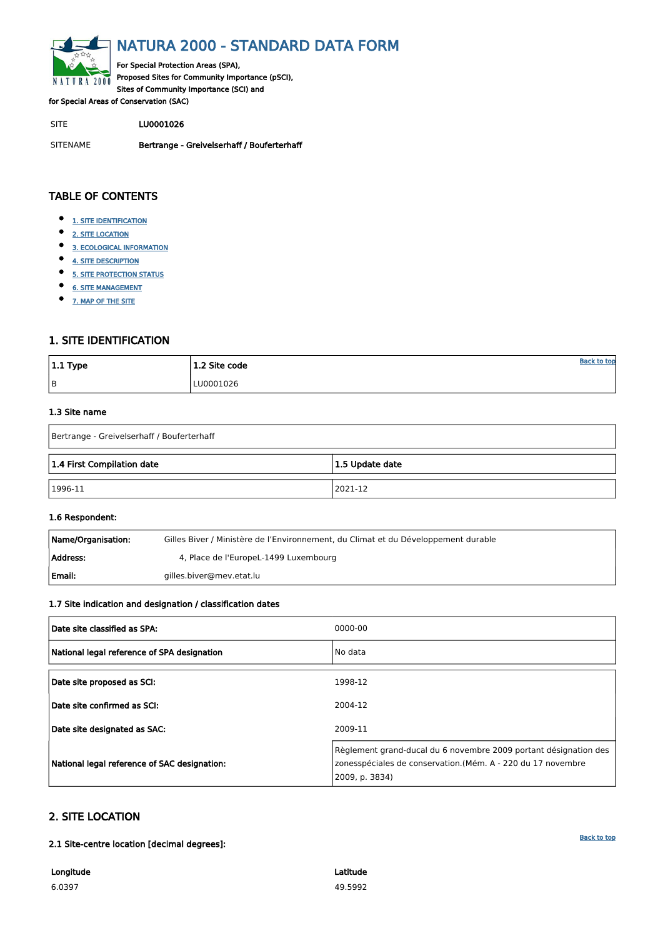<span id="page-0-0"></span>

# NATURA 2000 - STANDARD DATA FORM

For Special Protection Areas (SPA), Proposed Sites for Community Importance (pSCI), Sites of Community Importance (SCI) and

for Special Areas of Conservation (SAC)

- $\bullet$ [1. SITE IDENTIFICATION](#page-0-1)
- $\bullet$ [2. SITE LOCATION](#page-0-2)
- $\bullet$ [3. ECOLOGICAL INFORMATION](#page-1-0)
- $\bullet$ [4. SITE DESCRIPTION](#page-3-0)
- $\bullet$ [5. SITE PROTECTION STATUS](#page-4-0)
- $\bullet$ [6. SITE MANAGEMENT](#page-4-1)
- $\bullet$ [7. MAP OF THE SITE](#page-5-0)

SITE LU0001026

SITENAME Bertrange - Greivelserhaff / Bouferterhaff

| $ 1.1$ Type | 1.2 Site code | <b>Back to top</b> |
|-------------|---------------|--------------------|
| B           | LU0001026     |                    |

# TABLE OF CONTENTS

| Name/Organisation: | Gilles Biver / Ministère de l'Environnement, du Climat et du Développement durable |
|--------------------|------------------------------------------------------------------------------------|
| Address:           | 4, Place de l'EuropeL-1499 Luxembourg                                              |
| Email:             | gilles.biver@mev.etat.lu                                                           |

# <span id="page-0-1"></span>1. SITE IDENTIFICATION

### 1.3 Site name

| Bertrange - Greivelserhaff / Bouferterhaff    |         |  |  |  |  |  |  |  |  |
|-----------------------------------------------|---------|--|--|--|--|--|--|--|--|
| 1.4 First Compilation date<br>1.5 Update date |         |  |  |  |  |  |  |  |  |
| $ 1996-11$                                    | 2021-12 |  |  |  |  |  |  |  |  |

# 1.6 Respondent:

# 1.7 Site indication and designation / classification dates

| Date site classified as SPA:                | 0000-00 |
|---------------------------------------------|---------|
| National legal reference of SPA designation | No data |
| Date site proposed as SCI:                  | 1998-12 |
| Date site confirmed as SCI:                 | 2004-12 |

| Date site designated as SAC:                 | 2009-11                                                                                                                                           |
|----------------------------------------------|---------------------------------------------------------------------------------------------------------------------------------------------------|
| National legal reference of SAC designation: | Règlement grand-ducal du 6 novembre 2009 portant désignation des<br>zonesspéciales de conservation.(Mém. A - 220 du 17 novembre<br>2009, p. 3834) |

# <span id="page-0-2"></span>2. SITE LOCATION

2.1 Site-centre location [decimal degrees]:

Longitude 6.0397

Latitude 49.5992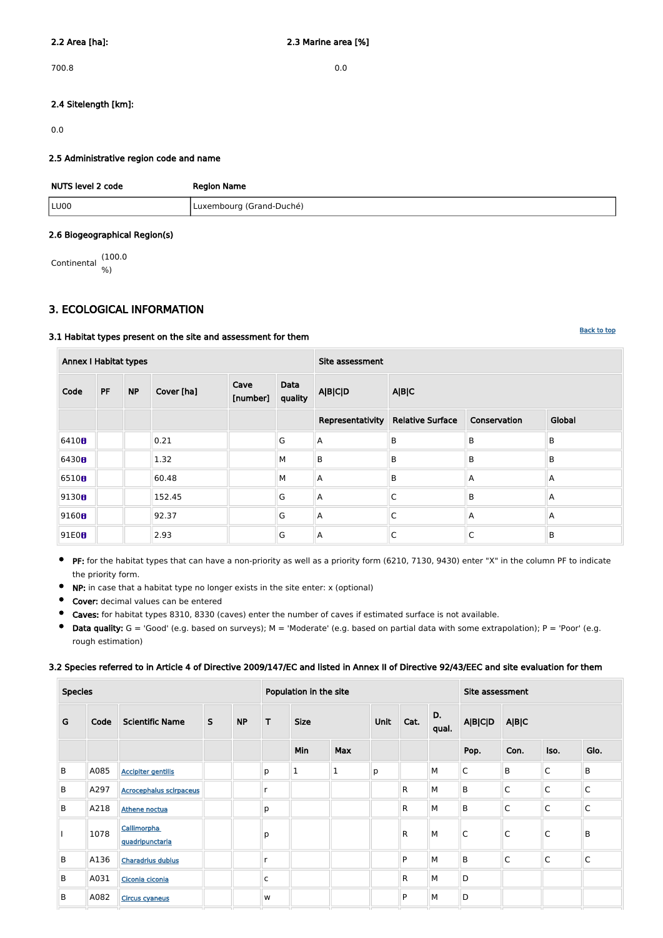700.8 0.0

# 2.4 Sitelength [km]:

0.0

# 2.5 Administrative region code and name

| NUTS level 2 code | <b>Region Name</b>       |
|-------------------|--------------------------|
| LU00              | Luxembourg (Grand-Duché) |

### 2.6 Biogeographical Region(s)

Continental (100.0 %)

# <span id="page-1-0"></span>3. ECOLOGICAL INFORMATION

# 3.1 Habitat types present on the site and assessment for them

| <b>Annex I Habitat types</b> |           |           |            |                  |                 | Site assessment         |                         |                |        |  |  |  |  |
|------------------------------|-----------|-----------|------------|------------------|-----------------|-------------------------|-------------------------|----------------|--------|--|--|--|--|
| Code                         | <b>PF</b> | <b>NP</b> | Cover [ha] | Cave<br>[number] | Data<br>quality | <b>A B C D</b>          | A B C                   |                |        |  |  |  |  |
|                              |           |           |            |                  |                 | Representativity        | <b>Relative Surface</b> | Conservation   | Global |  |  |  |  |
| 6410H                        |           |           | 0.21       |                  | G               | $\overline{\mathsf{A}}$ | $\sf B$                 | $\overline{B}$ | B      |  |  |  |  |
| 6430 <sub>B</sub>            |           |           | 1.32       |                  | M               | $\mathsf B$             | $\mathsf B$             | B              | B      |  |  |  |  |
| 6510 <sub>0</sub>            |           |           | 60.48      |                  | M               | A                       | $\mathsf B$             | $\mathsf{A}$   | А      |  |  |  |  |
| 9130 <sub>0</sub>            |           |           | 152.45     |                  | G               | A                       | $\mathsf C$             | $\overline{B}$ | А      |  |  |  |  |
| 9160 <sub>0</sub>            |           |           | 92.37      |                  | G               | $\overline{\mathsf{A}}$ | C                       | $\Lambda$      | A      |  |  |  |  |
| 91E0B                        |           |           | 2.93       |                  | G               | A                       | $\mathsf C$             | $\mathsf C$    | B      |  |  |  |  |

- **PF:** for the habitat types that can have a non-priority as well as a priority form (6210, 7130, 9430) enter "X" in the column PF to indicate the priority form.
- $\bullet$ NP: in case that a habitat type no longer exists in the site enter: x (optional)
- $\bullet$ Cover: decimal values can be entered
- $\bullet$ Caves: for habitat types 8310, 8330 (caves) enter the number of caves if estimated surface is not available.
- Data quality:  $G = 'Good'$  (e.g. based on surveys);  $M = 'Modern'$  (e.g. based on partial data with some extrapolation);  $P = 'Poor'$  (e.g.  $\bullet$ rough estimation)

# 3.2 Species referred to in Article 4 of Directive 2009/147/EC and listed in Annex II of Directive 92/43/EEC and site evaluation for them

| <b>Species</b> |  |  |  | Population in the site |  |  | Site assessment |  |  |  |
|----------------|--|--|--|------------------------|--|--|-----------------|--|--|--|
|                |  |  |  |                        |  |  |                 |  |  |  |

| G | Code | <b>Scientific Name</b>         | S. | <b>NP</b> | T            | <b>Size</b>  |            | Unit | Cat.         | D.<br>qual. | <b>A B C D</b> | A B C       |              |              |
|---|------|--------------------------------|----|-----------|--------------|--------------|------------|------|--------------|-------------|----------------|-------------|--------------|--------------|
|   |      |                                |    |           |              | Min          | <b>Max</b> |      |              |             | Pop.           | Con.        | Iso.         | Glo.         |
| B | A085 | <b>Accipiter gentilis</b>      |    |           | p            | $\mathbf{1}$ | Ŧ          | p    |              | M           | $\mathsf{C}$   | $\mathsf B$ | $\mathsf{C}$ | B            |
| B | A297 | <b>Acrocephalus scirpaceus</b> |    |           | $\mathsf{r}$ |              |            |      | $\mathsf{R}$ | M           | B              | $\mathsf C$ | $\mathsf{C}$ | $\mathsf C$  |
| B | A218 | <b>Athene noctua</b>           |    |           | p            |              |            |      | $\mathsf{R}$ | M           | B              | C           | $\mathsf{C}$ | $\mathsf{C}$ |
|   | 1078 | Callimorpha<br>quadripunctaria |    |           | p            |              |            |      | $\mathsf{R}$ | M           | $\mathsf{C}$   | C           | $\mathsf{C}$ | $\sf B$      |
| B | A136 | <b>Charadrius dubius</b>       |    |           | r            |              |            |      | P            | M           | B              | $\mathsf C$ | $\mathsf{C}$ | $\mathsf C$  |
| B | A031 | Ciconia ciconia                |    |           | $\mathsf{C}$ |              |            |      | $\mathsf{R}$ | M           | D              |             |              |              |
| B | A082 | <b>Circus cyaneus</b>          |    |           | W            |              |            |      | P            | M           | D              |             |              |              |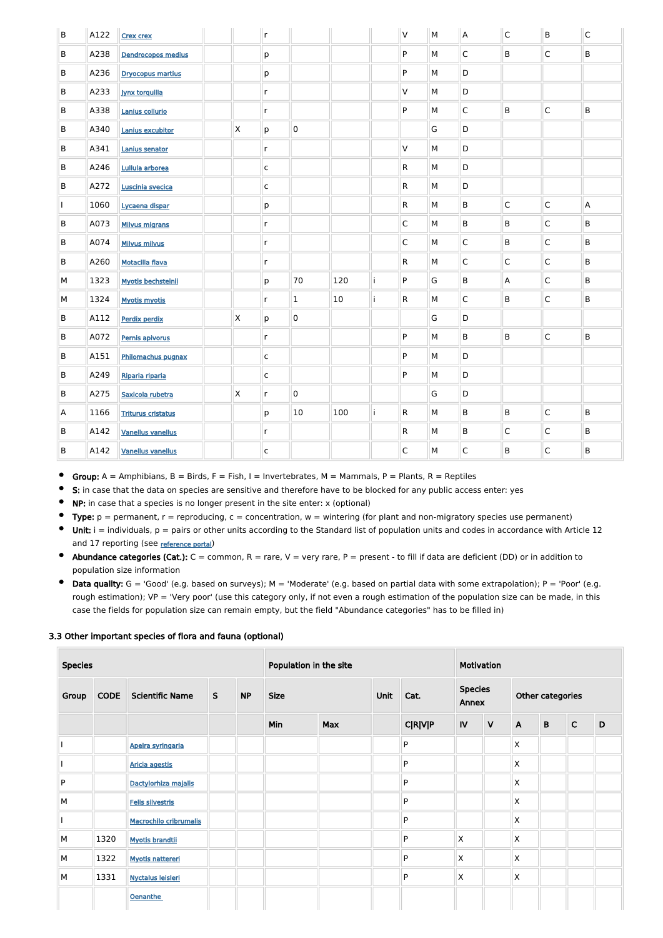| B            | A122 | <b>Crex crex</b>          |              | $\mathsf{r}$ |             |     |    | $\mathsf V$  | M         | $\mathsf{A}$ | $\mathsf C$ | B              | $\mathsf C$ |
|--------------|------|---------------------------|--------------|--------------|-------------|-----|----|--------------|-----------|--------------|-------------|----------------|-------------|
| B            | A238 | <b>Dendrocopos medius</b> |              | р            |             |     |    | P            | M         | $\mathsf C$  | B           | C              | B           |
| B            | A236 | <b>Dryocopus martius</b>  |              | р            |             |     |    | P            | M         | $\mathsf D$  |             |                |             |
| B            | A233 | <b>Jynx torquilla</b>     |              | r            |             |     |    | V            | M         | $\mathsf D$  |             |                |             |
| B            | A338 | Lanius collurio           |              | $\mathsf{r}$ |             |     |    | P            | M         | $\mathsf{C}$ | B           | $\mathsf{C}$   | B           |
| B            | A340 | Lanius excubitor          | X.           | р            | $\pmb{0}$   |     |    |              | G         | $\mathsf D$  |             |                |             |
| B            | A341 | Lanius senator            |              | r            |             |     |    | V            | M         | $\mathsf D$  |             |                |             |
| B            | A246 | Lullula arborea           |              | $\mathsf C$  |             |     |    | R            | M         | $\mathsf D$  |             |                |             |
| B            | A272 | Luscinia svecica          |              | $\mathsf C$  |             |     |    | R            | M         | $\mathsf D$  |             |                |             |
| Т.           | 1060 | Lycaena dispar            |              | р            |             |     |    | R            | M         | $\, {\bf B}$ | $\mathsf C$ | $\mathsf C$    | A           |
| B            | A073 | <b>Milvus migrans</b>     |              | r            |             |     |    | $\mathsf C$  | М         | $\, {\bf B}$ | B           | $\mathsf C$    | B           |
| B            | A074 | <b>Milvus milvus</b>      |              | r            |             |     |    | $\mathsf C$  | М         | $\mathsf{C}$ | B           | $\mathsf C$    | B           |
| B            | A260 | <b>Motacilla flava</b>    |              | r            |             |     |    | R            | М         | $\mathsf C$  | $\mathsf C$ | C              | B           |
| M            | 1323 | <b>Myotis bechsteinii</b> |              | р            | 70          | 120 | ÷  | P            | G         | $\, {\bf B}$ | A           | C              | B           |
| M            | 1324 | <b>Myotis myotis</b>      |              | r            | $\mathbf 1$ | 10  | j. | R            | M         | $\mathsf C$  | B           | $\mathsf C$    | B           |
| B            | A112 | <b>Perdix perdix</b>      | $\mathsf{X}$ | р            | $\pmb{0}$   |     |    |              | G         | D            |             |                |             |
| B            | A072 | Pernis apivorus           |              | $\mathsf{r}$ |             |     |    | P            | M         | B            | B           | $\mathsf{C}$   | $\sf B$     |
| B            | A151 | Philomachus pugnax        |              | $\mathsf C$  |             |     |    | P            | M         | D            |             |                |             |
| B            | A249 | Riparia riparia           |              | $\mathsf C$  |             |     |    | P            | ${\sf M}$ | $\mathsf D$  |             |                |             |
| B            | A275 | Saxicola rubetra          | <b>X</b>     | $\mathsf{r}$ | $\pmb{0}$   |     |    |              | G         | $\mathsf D$  |             |                |             |
| $\mathsf{A}$ | 1166 | <b>Triturus cristatus</b> |              | р            | 10          | 100 | j. | $\mathsf{R}$ | M         | $\sf B$      | $\sf B$     | $\overline{C}$ | $\sf B$     |
| B            | A142 | <b>Vanellus vanellus</b>  |              | r            |             |     |    | $\mathsf{R}$ | M         | $\sf B$      | $\mathsf C$ | $\mathsf{C}$   | $\sf B$     |
| B            | A142 | <b>Vanellus vanellus</b>  |              | $\mathsf{C}$ |             |     |    | $\mathsf C$  | М         | $\mathsf C$  | $\sf B$     | $\mathsf{C}$   | $\sf B$     |

Group:  $A =$  Amphibians,  $B =$  Birds,  $F =$  Fish, I = Invertebrates, M = Mammals, P = Plants, R = Reptiles  $\bullet$ 

 $\bullet$ S: in case that the data on species are sensitive and therefore have to be blocked for any public access enter: yes

- $\bullet$ NP: in case that a species is no longer present in the site enter: x (optional)
- $\bullet$ Type:  $p =$  permanent,  $r =$  reproducing,  $c =$  concentration,  $w =$  wintering (for plant and non-migratory species use permanent)
- $\bullet$  Unit: i = individuals,  $p =$  pairs or other units according to the Standard list of population units and codes in accordance with Article 12 and 17 reporting (see [reference portal](http://bd.eionet.europa.eu/activities/Natura_2000/reference_portal))
- Abundance categories (Cat.):  $C =$  common,  $R =$  rare,  $V =$  very rare,  $P =$  present to fill if data are deficient (DD) or in addition to population size information
- $\bullet$  Data quality:  $G = 'Good'$  (e.g. based on surveys);  $M = 'Modern'$  (e.g. based on partial data with some extrapolation);  $P = 'Poor'$  (e.g. rough estimation); VP = 'Very poor' (use this category only, if not even a rough estimation of the population size can be made, in this case the fields for population size can remain empty, but the field "Abundance categories" has to be filled in)

### 3.3 Other important species of flora and fauna (optional)

| <b>Species</b> |       |             | Population in the site |  | <b>Motivation</b> |             |      |      |                         |                  |
|----------------|-------|-------------|------------------------|--|-------------------|-------------|------|------|-------------------------|------------------|
|                | Group | <b>CODE</b> | <b>Scientific Name</b> |  | <b>NP</b>         | <b>Size</b> | Unit | Cat. | <b>Species</b><br>Annex | Other categories |

|   |      |                               | Min | Max | <b>C R V P</b> | <b>IV</b> | $\mathsf{V}$ | $\overline{A}$     | $\mathbf B$ | $\mathsf{C}$ | D |
|---|------|-------------------------------|-----|-----|----------------|-----------|--------------|--------------------|-------------|--------------|---|
|   |      | Apeira syringaria             |     |     | P              |           |              | $\pmb{\mathsf{X}}$ |             |              |   |
|   |      | Aricia agestis                |     |     | P              |           |              | $\sf X$            |             |              |   |
| P |      | Dactylorhiza majalis          |     |     | P              |           |              | $\sf X$            |             |              |   |
| М |      | Felis silvestris              |     |     | P              |           |              | $\sf X$            |             |              |   |
|   |      | <b>Macrochilo cribrumalis</b> |     |     | P              |           |              | $\sf X$            |             |              |   |
| М | 1320 | <b>Myotis brandtii</b>        |     |     | P              | X         |              | $\sf X$            |             |              |   |
| М | 1322 | <b>Myotis nattereri</b>       |     |     | P              | X         |              | $\sf X$            |             |              |   |
| М | 1331 | <b>Nyctalus leisleri</b>      |     |     | P              | X         |              | $\mathsf X$        |             |              |   |
|   |      | <b>Oenanthe</b>               |     |     |                |           |              |                    |             |              |   |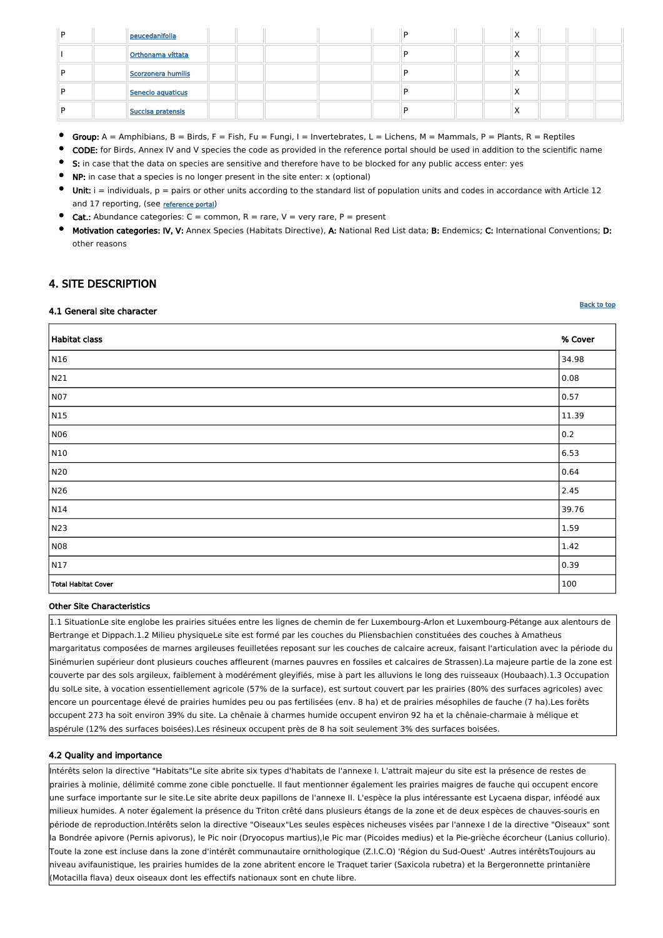| D | peucedanifolia     |  |  | D |  | $\lambda$  |  |  |
|---|--------------------|--|--|---|--|------------|--|--|
|   | Orthonama vittata  |  |  | D |  | $\sqrt{ }$ |  |  |
|   | Scorzonera humilis |  |  | ם |  | $\lambda$  |  |  |
|   | Senecio aquaticus  |  |  | D |  | $\sqrt{ }$ |  |  |
|   | Succisa pratensis  |  |  | ם |  | ↗          |  |  |

- Group:  $A =$  Amphibians,  $B =$  Birds,  $F =$  Fish, Fu = Fungi, I = Invertebrates, L = Lichens, M = Mammals, P = Plants, R = Reptiles
- CODE: for Birds, Annex IV and V species the code as provided in the reference portal should be used in addition to the scientific name
- S: in case that the data on species are sensitive and therefore have to be blocked for any public access enter: yes
- NP: in case that a species is no longer present in the site enter: x (optional)
- Unit:  $i =$  individuals,  $p =$  pairs or other units according to the standard list of population units and codes in accordance with Article 12 and 17 reporting, (see [reference portal](http://bd.eionet.europa.eu/activities/Natura_2000/reference_portal))
- **Cat.:** Abundance categories:  $C =$  common,  $R =$  rare,  $V =$  very rare,  $P =$  present
- Motivation categories: IV, V: Annex Species (Habitats Directive), A: National Red List data; B: Endemics; C: International Conventions; D: other reasons

# <span id="page-3-0"></span>4. SITE DESCRIPTION

#### 4.1 General site character

| <b>Habitat class</b>       | % Cover |
|----------------------------|---------|
| N16                        | 34.98   |
| N21                        | 0.08    |
| <b>N07</b>                 | 0.57    |
| N <sub>15</sub>            | 11.39   |
| N06                        | 0.2     |
| N10                        | 6.53    |
| N20                        | 0.64    |
| N26                        | 2.45    |
| N14                        | 39.76   |
| N23                        | 1.59    |
| <b>N08</b>                 | 1.42    |
| N17                        | 0.39    |
| <b>Total Habitat Cover</b> | 100     |

#### Other Site Characteristics

1.1 SituationLe site englobe les prairies situées entre les lignes de chemin de fer Luxembourg-Arlon et Luxembourg-Pétange aux alentours de Bertrange et Dippach.1.2 Milieu physiqueLe site est formé par les couches du Pliensbachien constituées des couches à Amatheus margaritatus composées de marnes argileuses feuilletées reposant sur les couches de calcaire acreux, faisant l'articulation avec la période du Sinémurien supérieur dont plusieurs couches affleurent (marnes pauvres en fossiles et calcaires de Strassen).La majeure partie de la zone est couverte par des sols argileux, faiblement à modérément gleyifiés, mise à part les alluvions le long des ruisseaux (Houbaach).1.3 Occupation du solLe site, à vocation essentiellement agricole (57% de la surface), est surtout couvert par les prairies (80% des surfaces agricoles) avec encore un pourcentage élevé de prairies humides peu ou pas fertilisées (env. 8 ha) et de prairies mésophiles de fauche (7 ha).Les forêts

### 4.2 Quality and importance

Intérêts selon la directive "Habitats"Le site abrite six types d'habitats de l'annexe I. L'attrait majeur du site est la présence de restes de prairies à molinie, délimité comme zone cible ponctuelle. Il faut mentionner également les prairies maigres de fauche qui occupent encore une surface importante sur le site.Le site abrite deux papillons de l'annexe II. L'espèce la plus intéressante est Lycaena dispar, inféodé aux milieux humides. A noter également la présence du Triton crêté dans plusieurs étangs de la zone et de deux espèces de chauves-souris en période de reproduction.Intérêts selon la directive "Oiseaux"Les seules espèces nicheuses visées par l'annexe I de la directive "Oiseaux" sont la Bondrée apivore (Pernis apivorus), le Pic noir (Dryocopus martius),le Pic mar (Picoides medius) et la Pie-grièche écorcheur (Lanius collurio). Toute la zone est incluse dans la zone d'intérêt communautaire ornithologique (Z.I.C.O) 'Région du Sud-Ouest' .Autres intérêtsToujours au niveau avifaunistique, les prairies humides de la zone abritent encore le Traquet tarier (Saxicola rubetra) et la Bergeronnette printanière (Motacilla flava) deux oiseaux dont les effectifs nationaux sont en chute libre.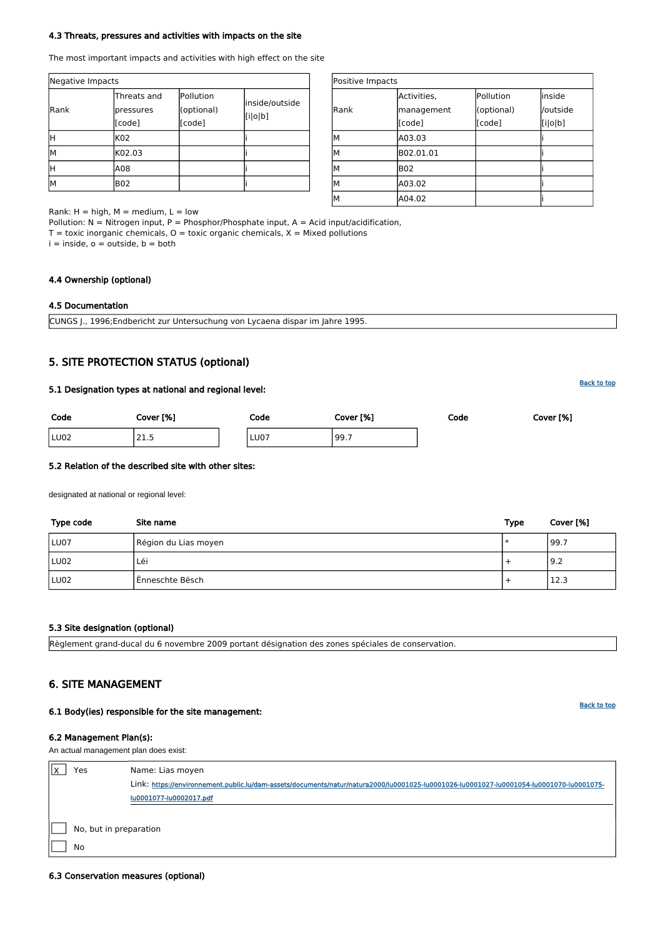[Back to top](#page-0-0)

| Positive Impacts |             |            |          |  |  |  |  |
|------------------|-------------|------------|----------|--|--|--|--|
|                  | Activities, | Pollution  | inside   |  |  |  |  |
| Rank             | management  | (optional) | /outside |  |  |  |  |
|                  | [code]      | [code]     | [i o b]  |  |  |  |  |
| М                | A03.03      |            |          |  |  |  |  |
| M                | B02.01.01   |            |          |  |  |  |  |
| М                | <b>B02</b>  |            |          |  |  |  |  |
| М                | A03.02      |            |          |  |  |  |  |
| М                | A04.02      |            |          |  |  |  |  |

Rank:  $H = high$ ,  $M = medium$ ,  $L = low$ 

Pollution:  $N =$  Nitrogen input, P = Phosphor/Phosphate input, A = Acid input/acidification,

 $T =$  toxic inorganic chemicals,  $O =$  toxic organic chemicals,  $X =$  Mixed pollutions

 $i =$  inside,  $o =$  outside,  $b =$  both

| Negative Impacts |                                     |                                   |                           |  |  |  |  |  |
|------------------|-------------------------------------|-----------------------------------|---------------------------|--|--|--|--|--|
| Rank             | Threats and<br>pressures<br>[[code] | Pollution<br>(optional)<br>[code] | inside/outside<br>[i o b] |  |  |  |  |  |
| Η                | K02                                 |                                   |                           |  |  |  |  |  |
| M                | K02.03                              |                                   |                           |  |  |  |  |  |
| ΙН               | A08                                 |                                   |                           |  |  |  |  |  |
| М                | <b>B02</b>                          |                                   |                           |  |  |  |  |  |

### 4.3 Threats, pressures and activities with impacts on the site

The most important impacts and activities with high effect on the site

#### 4.4 Ownership (optional)

#### 4.5 Documentation

CUNGS J., 1996;Endbericht zur Untersuchung von Lycaena dispar im Jahre 1995.

| Yes                    | Name: Lias moyen<br>Link: https://environnement.public.lu/dam-assets/documents/natur/natura2000/lu0001025-lu0001026-lu0001027-lu0001054-lu0001070-lu0001075- |
|------------------------|--------------------------------------------------------------------------------------------------------------------------------------------------------------|
|                        | lu0001077-lu0002017.pdf                                                                                                                                      |
| No, but in preparation |                                                                                                                                                              |
| No                     |                                                                                                                                                              |

# <span id="page-4-0"></span>5. SITE PROTECTION STATUS (optional)

#### 5.1 Designation types at national and regional level:

| Code | Cover [%]   | Code | Cover [%] | Code | Cover [%] |
|------|-------------|------|-----------|------|-----------|
| LU02 | ົາາ<br>71.9 | LU07 | 99.7      |      |           |

### 5.2 Relation of the described site with other sites:

designated at national or regional level:

| Type code | Site name            | <b>Type</b> | Cover [%] |
|-----------|----------------------|-------------|-----------|
| $ L$ U07  | Région du Lias moyen | -∗          | 99.7      |
| LU02      | Léi                  | . ተ         | 19.2      |
| LU02      | Enneschte Bësch      | . +         | 12.3      |

### 5.3 Site designation (optional)

Règlement grand-ducal du 6 novembre 2009 portant désignation des zones spéciales de conservation.

# <span id="page-4-1"></span>6. SITE MANAGEMENT

#### 6.1 Body(ies) responsible for the site management:

### 6.2 Management Plan(s):

An actual management plan does exist:

6.3 Conservation measures (optional)